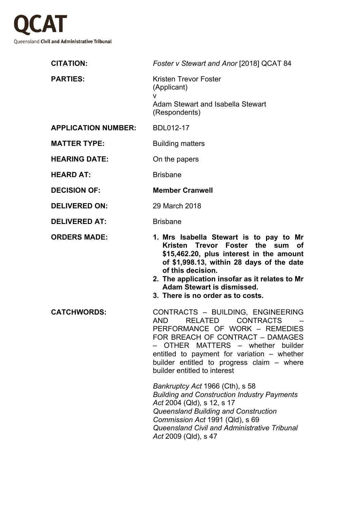

| <b>CITATION:</b>           | Foster v Stewart and Anor [2018] QCAT 84                                                                                                                                                                                                                                                                                    |
|----------------------------|-----------------------------------------------------------------------------------------------------------------------------------------------------------------------------------------------------------------------------------------------------------------------------------------------------------------------------|
| <b>PARTIES:</b>            | Kristen Trevor Foster<br>(Applicant)<br>v                                                                                                                                                                                                                                                                                   |
|                            | Adam Stewart and Isabella Stewart<br>(Respondents)                                                                                                                                                                                                                                                                          |
| <b>APPLICATION NUMBER:</b> | <b>BDL012-17</b>                                                                                                                                                                                                                                                                                                            |
| <b>MATTER TYPE:</b>        | <b>Building matters</b>                                                                                                                                                                                                                                                                                                     |
| <b>HEARING DATE:</b>       | On the papers                                                                                                                                                                                                                                                                                                               |
| <b>HEARD AT:</b>           | <b>Brisbane</b>                                                                                                                                                                                                                                                                                                             |
| <b>DECISION OF:</b>        | <b>Member Cranwell</b>                                                                                                                                                                                                                                                                                                      |
| <b>DELIVERED ON:</b>       | 29 March 2018                                                                                                                                                                                                                                                                                                               |
| <b>DELIVERED AT:</b>       | <b>Brisbane</b>                                                                                                                                                                                                                                                                                                             |
| <b>ORDERS MADE:</b>        | 1. Mrs Isabella Stewart is to pay to Mr<br>Kristen Trevor Foster the sum<br>оf<br>\$15,462.20, plus interest in the amount<br>of \$1,998.13, within 28 days of the date<br>of this decision.<br>2. The application insofar as it relates to Mr<br><b>Adam Stewart is dismissed.</b><br>3. There is no order as to costs.    |
| <b>CATCHWORDS:</b>         | CONTRACTS - BUILDING, ENGINEERING<br><b>CONTRACTS</b><br><b>AND</b><br><b>RELATED</b><br>PERFORMANCE OF WORK - REMEDIES<br>FOR BREACH OF CONTRACT - DAMAGES<br>OTHER MATTERS - whether builder<br>entitled to payment for variation – whether<br>builder entitled to progress claim - where<br>builder entitled to interest |
|                            | Bankruptcy Act 1966 (Cth), s 58<br><b>Building and Construction Industry Payments</b><br>Act 2004 (Qld), s 12, s 17<br>Queensland Building and Construction<br>Commission Act 1991 (Qld), s 69<br>Queensland Civil and Administrative Tribunal<br>Act 2009 (Qld), s 47                                                      |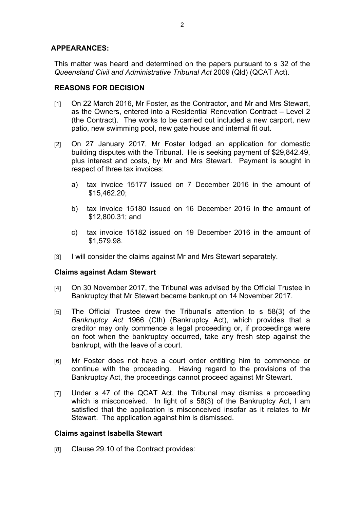# **APPEARANCES:**

This matter was heard and determined on the papers pursuant to s 32 of the *Queensland Civil and Administrative Tribunal Act* 2009 (Qld) (QCAT Act).

# **REASONS FOR DECISION**

- [1] On 22 March 2016, Mr Foster, as the Contractor, and Mr and Mrs Stewart, as the Owners, entered into a Residential Renovation Contract – Level 2 (the Contract). The works to be carried out included a new carport, new patio, new swimming pool, new gate house and internal fit out.
- [2] On 27 January 2017, Mr Foster lodged an application for domestic building disputes with the Tribunal. He is seeking payment of \$29,842.49, plus interest and costs, by Mr and Mrs Stewart. Payment is sought in respect of three tax invoices:
	- a) tax invoice 15177 issued on 7 December 2016 in the amount of \$15,462.20;
	- b) tax invoice 15180 issued on 16 December 2016 in the amount of \$12,800.31; and
	- c) tax invoice 15182 issued on 19 December 2016 in the amount of \$1,579.98.
- [3] I will consider the claims against Mr and Mrs Stewart separately.

# **Claims against Adam Stewart**

- [4] On 30 November 2017, the Tribunal was advised by the Official Trustee in Bankruptcy that Mr Stewart became bankrupt on 14 November 2017.
- [5] The Official Trustee drew the Tribunal's attention to s 58(3) of the *Bankruptcy Act* 1966 (Cth) (Bankruptcy Act), which provides that a creditor may only commence a legal proceeding or, if proceedings were on foot when the bankruptcy occurred, take any fresh step against the bankrupt, with the leave of a court.
- [6] Mr Foster does not have a court order entitling him to commence or continue with the proceeding. Having regard to the provisions of the Bankruptcy Act, the proceedings cannot proceed against Mr Stewart.
- [7] Under s 47 of the QCAT Act, the Tribunal may dismiss a proceeding which is misconceived. In light of s 58(3) of the Bankruptcy Act, I am satisfied that the application is misconceived insofar as it relates to Mr Stewart. The application against him is dismissed.

# **Claims against Isabella Stewart**

[8] Clause 29.10 of the Contract provides: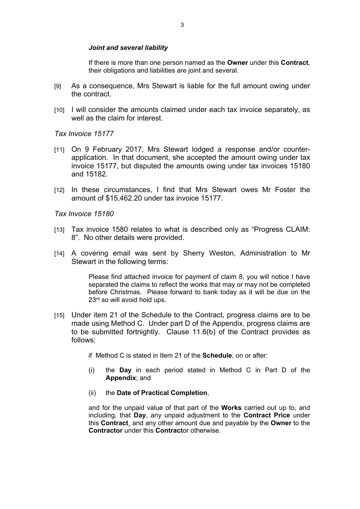#### *Joint and several liability*

If there is more than one person named as the **Owner** under this **Contract**, their obligations and liabilities are joint and several.

- [9] As a consequence, Mrs Stewart is liable for the full amount owing under the contract.
- [10] I will consider the amounts claimed under each tax invoice separately, as well as the claim for interest.

*Tax Invoice 15177*

- [11] On 9 February 2017, Mrs Stewart lodged a response and/or counterapplication. In that document, she accepted the amount owing under tax invoice 15177, but disputed the amounts owing under tax invoices 15180 and 15182.
- [12] In these circumstances, I find that Mrs Stewart owes Mr Foster the amount of \$15,462.20 under tax invoice 15177.

*Tax Invoice 15180*

- [13] Tax invoice 1580 relates to what is described only as "Progress CLAIM: 8". No other details were provided.
- [14] A covering email was sent by Sherry Weston, Administration to Mr Stewart in the following terms:

Please find attached invoice for payment of claim 8, you will notice I have separated the claims to reflect the works that may or may not be completed before Christmas. Please forward to bank today as it will be due on the 23<sup>rd</sup> so will avoid hold ups.

- [15] Under item 21 of the Schedule to the Contract, progress claims are to be made using Method C. Under part D of the Appendix, progress claims are to be submitted fortnightly. Clause 11.6(b) of the Contract provides as follows:
	- if Method C is stated in Item 21 of the **Schedule**, on or after:
	- (i) the **Day** in each period stated in Method C in Part D of the **Appendix**; and
	- (ii) the **Date of Practical Completion**,

and for the unpaid value of that part of the **Works** carried out up to, and including, that **Day**, any unpaid adjustment to the **Contract Price** under this **Contract**¸ and any other amount due and payable by the **Owner** to the **Contractor** under this **Contract**or otherwise.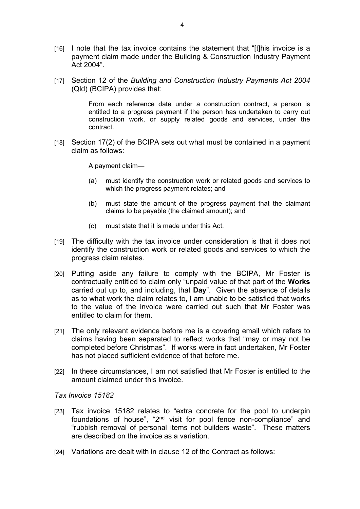- [16] I note that the tax invoice contains the statement that "[t]his invoice is a payment claim made under the Building & Construction Industry Payment Act 2004".
- [17] Section 12 of the *Building and Construction Industry Payments Act 2004* (Qld) (BCIPA) provides that:

From each reference date under a construction contract, a person is entitled to a progress payment if the person has undertaken to carry out construction work, or supply related goods and services, under the contract.

[18] Section 17(2) of the BCIPA sets out what must be contained in a payment claim as follows:

A payment claim—

- (a) must identify the construction work or related goods and services to which the progress payment relates; and
- (b) must state the amount of the progress payment that the claimant claims to be payable (the claimed amount); and
- (c) must state that it is made under this Act.
- [19] The difficulty with the tax invoice under consideration is that it does not identify the construction work or related goods and services to which the progress claim relates.
- [20] Putting aside any failure to comply with the BCIPA, Mr Foster is contractually entitled to claim only "unpaid value of that part of the **Works**  carried out up to, and including, that **Day**". Given the absence of details as to what work the claim relates to, I am unable to be satisfied that works to the value of the invoice were carried out such that Mr Foster was entitled to claim for them.
- [21] The only relevant evidence before me is a covering email which refers to claims having been separated to reflect works that "may or may not be completed before Christmas". If works were in fact undertaken, Mr Foster has not placed sufficient evidence of that before me.
- [22] In these circumstances, I am not satisfied that Mr Foster is entitled to the amount claimed under this invoice.

*Tax Invoice 15182*

- [23] Tax invoice 15182 relates to "extra concrete for the pool to underpin foundations of house", "2nd visit for pool fence non-compliance" and "rubbish removal of personal items not builders waste". These matters are described on the invoice as a variation.
- [24] Variations are dealt with in clause 12 of the Contract as follows: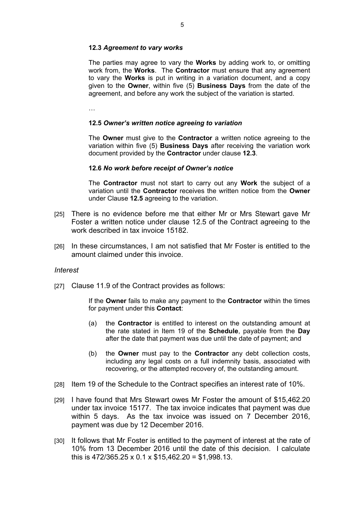### **12.3** *Agreement to vary works*

The parties may agree to vary the **Works** by adding work to, or omitting work from, the **Works**. The **Contractor** must ensure that any agreement to vary the **Works** is put in writing in a variation document, and a copy given to the **Owner**, within five (5) **Business Days** from the date of the agreement, and before any work the subject of the variation is started.

…

### **12.5** *Owner's written notice agreeing to variation*

The **Owner** must give to the **Contractor** a written notice agreeing to the variation within five (5) **Business Days** after receiving the variation work document provided by the **Contractor** under clause **12.3**.

#### **12.6** *No work before receipt of Owner's notice*

The **Contractor** must not start to carry out any **Work** the subject of a variation until the **Contractor** receives the written notice from the **Owner**  under Clause **12.5** agreeing to the variation.

- [25] There is no evidence before me that either Mr or Mrs Stewart gave Mr Foster a written notice under clause 12.5 of the Contract agreeing to the work described in tax invoice 15182
- [26] In these circumstances, I am not satisfied that Mr Foster is entitled to the amount claimed under this invoice.

### *Interest*

[27] Clause 11.9 of the Contract provides as follows:

If the **Owner** fails to make any payment to the **Contractor** within the times for payment under this **Contact**:

- (a) the **Contractor** is entitled to interest on the outstanding amount at the rate stated in Item 19 of the **Schedule**, payable from the **Day** after the date that payment was due until the date of payment; and
- (b) the **Owner** must pay to the **Contractor** any debt collection costs, including any legal costs on a full indemnity basis, associated with recovering, or the attempted recovery of, the outstanding amount.
- [28] Item 19 of the Schedule to the Contract specifies an interest rate of 10%.
- [29] I have found that Mrs Stewart owes Mr Foster the amount of \$15,462.20 under tax invoice 15177. The tax invoice indicates that payment was due within 5 days. As the tax invoice was issued on 7 December 2016, payment was due by 12 December 2016.
- [30] It follows that Mr Foster is entitled to the payment of interest at the rate of 10% from 13 December 2016 until the date of this decision. I calculate this is 472/365.25 x 0.1 x \$15,462.20 = \$1,998.13.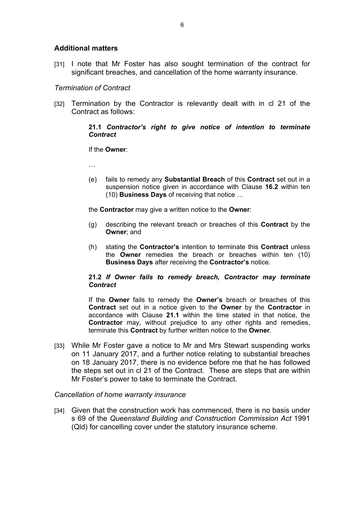# **Additional matters**

[31] I note that Mr Foster has also sought termination of the contract for significant breaches, and cancellation of the home warranty insurance.

### *Termination of Contract*

[32] Termination by the Contractor is relevantly dealt with in cl 21 of the Contract as follows:

### **21.1** *Contractor's right to give notice of intention to terminate Contract*

If the **Owner**:

…

(e) fails to remedy any **Substantial Breach** of this **Contract** set out in a suspension notice given in accordance with Clause **16.2** within ten (10) **Business Days** of receiving that notice …

the **Contractor** may give a written notice to the **Owner**:

- (g) describing the relevant breach or breaches of this **Contract** by the **Owner**; and
- (h) stating the **Contractor's** intention to terminate this **Contract** unless the **Owner** remedies the breach or breaches within ten (10) **Business Days** after receiving the **Contractor's** notice.

### **21.2** *If Owner fails to remedy breach, Contractor may terminate Contract*

If the **Owner** fails to remedy the **Owner's** breach or breaches of this **Contract** set out in a notice given to the **Owner** by the **Contractor** in accordance with Clause **21.1** within the time stated in that notice, the **Contractor** may, without prejudice to any other rights and remedies, terminate this **Contract** by further written notice to the **Owner**.

[33] While Mr Foster gave a notice to Mr and Mrs Stewart suspending works on 11 January 2017, and a further notice relating to substantial breaches on 18 January 2017, there is no evidence before me that he has followed the steps set out in cl 21 of the Contract. These are steps that are within Mr Foster's power to take to terminate the Contract.

### *Cancellation of home warranty insurance*

[34] Given that the construction work has commenced, there is no basis under s 69 of the *Queensland Building and Construction Commission Act* 1991 (Qld) for cancelling cover under the statutory insurance scheme.